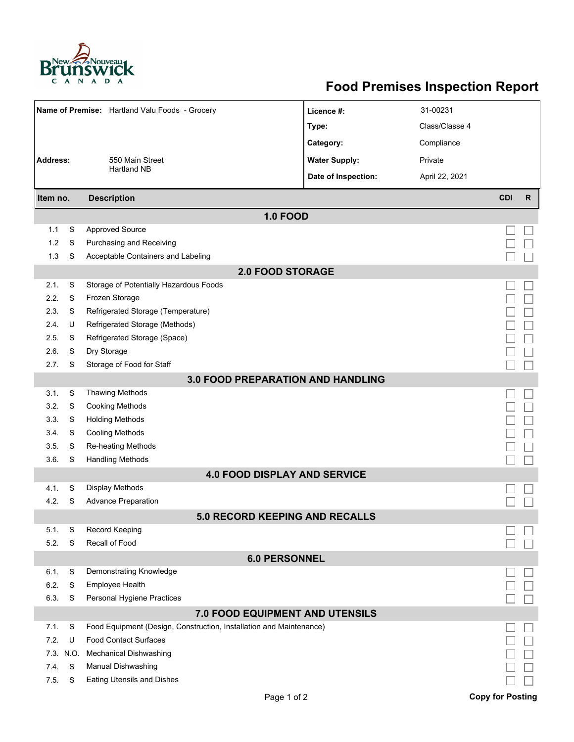

## **Food Premises Inspection Report**

| Name of Premise: Hartland Valu Foods - Grocery                                                                      |                             |                                            | Licence #:           | 31-00231       |                         |              |  |  |  |  |
|---------------------------------------------------------------------------------------------------------------------|-----------------------------|--------------------------------------------|----------------------|----------------|-------------------------|--------------|--|--|--|--|
|                                                                                                                     |                             |                                            | Type:                | Class/Classe 4 |                         |              |  |  |  |  |
|                                                                                                                     |                             |                                            | Category:            | Compliance     |                         |              |  |  |  |  |
| <b>Address:</b>                                                                                                     |                             | 550 Main Street                            | <b>Water Supply:</b> | Private        |                         |              |  |  |  |  |
|                                                                                                                     |                             | <b>Hartland NB</b>                         | Date of Inspection:  | April 22, 2021 |                         |              |  |  |  |  |
| Item no.                                                                                                            |                             | <b>Description</b>                         |                      |                | <b>CDI</b>              | $\mathsf{R}$ |  |  |  |  |
| <b>1.0 FOOD</b>                                                                                                     |                             |                                            |                      |                |                         |              |  |  |  |  |
| 1.1                                                                                                                 | S                           | <b>Approved Source</b>                     |                      |                |                         |              |  |  |  |  |
| 1.2                                                                                                                 | S                           | Purchasing and Receiving                   |                      |                |                         |              |  |  |  |  |
| 1.3                                                                                                                 | S                           | Acceptable Containers and Labeling         |                      |                |                         |              |  |  |  |  |
| <b>2.0 FOOD STORAGE</b>                                                                                             |                             |                                            |                      |                |                         |              |  |  |  |  |
| 2.1.                                                                                                                | S                           | Storage of Potentially Hazardous Foods     |                      |                |                         |              |  |  |  |  |
| 2.2.                                                                                                                | S                           | Frozen Storage                             |                      |                |                         |              |  |  |  |  |
| 2.3.                                                                                                                | S                           | Refrigerated Storage (Temperature)         |                      |                |                         |              |  |  |  |  |
| 2.4.                                                                                                                | U                           | Refrigerated Storage (Methods)             |                      |                |                         |              |  |  |  |  |
| 2.5.                                                                                                                | S                           | Refrigerated Storage (Space)               |                      |                |                         |              |  |  |  |  |
| 2.6.                                                                                                                | S                           | Dry Storage                                |                      |                |                         |              |  |  |  |  |
| 2.7.                                                                                                                | S                           | Storage of Food for Staff                  |                      |                |                         |              |  |  |  |  |
| 3.0 FOOD PREPARATION AND HANDLING                                                                                   |                             |                                            |                      |                |                         |              |  |  |  |  |
| 3.1.                                                                                                                | S                           | <b>Thawing Methods</b>                     |                      |                |                         |              |  |  |  |  |
| 3.2.                                                                                                                | S                           | <b>Cooking Methods</b>                     |                      |                |                         |              |  |  |  |  |
| 3.3.                                                                                                                | S                           | <b>Holding Methods</b>                     |                      |                |                         |              |  |  |  |  |
| 3.4.                                                                                                                | S                           | <b>Cooling Methods</b>                     |                      |                |                         |              |  |  |  |  |
| 3.5.                                                                                                                | S                           | Re-heating Methods                         |                      |                |                         |              |  |  |  |  |
| 3.6.                                                                                                                | S                           | <b>Handling Methods</b>                    |                      |                |                         |              |  |  |  |  |
|                                                                                                                     |                             | <b>4.0 FOOD DISPLAY AND SERVICE</b>        |                      |                |                         |              |  |  |  |  |
| 4.1.                                                                                                                | S                           | <b>Display Methods</b>                     |                      |                |                         |              |  |  |  |  |
| 4.2.                                                                                                                | S                           | <b>Advance Preparation</b>                 |                      |                |                         |              |  |  |  |  |
|                                                                                                                     |                             | <b>5.0 RECORD KEEPING AND RECALLS</b>      |                      |                |                         |              |  |  |  |  |
| 5.1.                                                                                                                | S                           | Record Keeping                             |                      |                |                         |              |  |  |  |  |
|                                                                                                                     | Recall of Food<br>5.2.<br>S |                                            |                      |                |                         |              |  |  |  |  |
| <b>6.0 PERSONNEL</b>                                                                                                |                             |                                            |                      |                |                         |              |  |  |  |  |
| 6.1.<br>6.2.                                                                                                        | S<br>S                      | Demonstrating Knowledge<br>Employee Health |                      |                |                         |              |  |  |  |  |
| 6.3.                                                                                                                | S                           | Personal Hygiene Practices                 |                      |                |                         |              |  |  |  |  |
|                                                                                                                     |                             |                                            |                      |                |                         |              |  |  |  |  |
| 7.0 FOOD EQUIPMENT AND UTENSILS<br>7.1.<br>S<br>Food Equipment (Design, Construction, Installation and Maintenance) |                             |                                            |                      |                |                         |              |  |  |  |  |
| 7.2.                                                                                                                | U                           | <b>Food Contact Surfaces</b>               |                      |                |                         |              |  |  |  |  |
| 7.3.                                                                                                                | N.O.                        | <b>Mechanical Dishwashing</b>              |                      |                |                         |              |  |  |  |  |
| 7.4.                                                                                                                | S                           | Manual Dishwashing                         |                      |                |                         |              |  |  |  |  |
| 7.5.                                                                                                                | S                           | <b>Eating Utensils and Dishes</b>          |                      |                |                         |              |  |  |  |  |
|                                                                                                                     |                             | Page 1 of 2                                |                      |                | <b>Copy for Posting</b> |              |  |  |  |  |